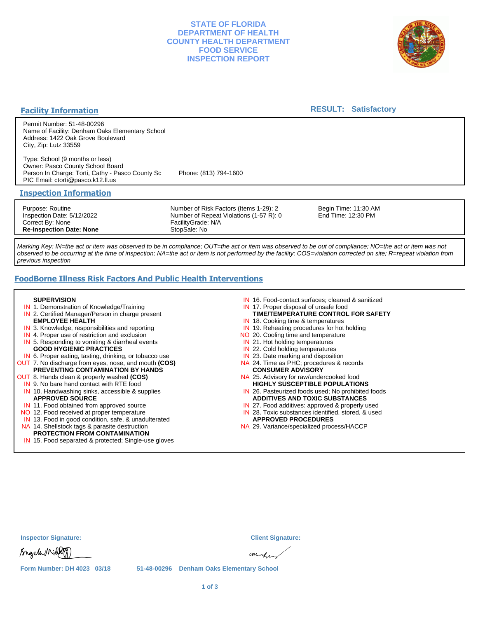## **STATE OF FLORIDA DEPARTMENT OF HEALTH COUNTY HEALTH DEPARTMENT FOOD SERVICE INSPECTION REPORT**



#### **Facility Information**

#### **RESULT: Satisfactory**

Permit Number: 51-48-00296 Name of Facility: Denham Oaks Elementary School Address: 1422 Oak Grove Boulevard City, Zip: Lutz 33559

Type: School (9 months or less) Owner: Pasco County School Board Person In Charge: Torti, Cathy - Pasco County Sc Phone: (813) 794-1600 PIC Email: ctorti@pasco.k12.fl.us

#### **Inspection Information**

Purpose: Routine Inspection Date: 5/12/2022 Correct By: None **Re-Inspection Date: None**

Number of Risk Factors (Items 1-29): 2 Number of Repeat Violations (1-57 R): 0 FacilityGrade: N/A StopSale: No

Begin Time: 11:30 AM End Time: 12:30 PM

Marking Key: IN=the act or item was observed to be in compliance; OUT=the act or item was observed to be out of compliance; NO=the act or item was not observed to be occurring at the time of inspection; NA=the act or item is not performed by the facility; COS=violation corrected on site; R=repeat violation from previous inspection

# **FoodBorne Illness Risk Factors And Public Health Interventions**

#### **SUPERVISION**

- **IN** 1. Demonstration of Knowledge/Training
- **IN** 2. Certified Manager/Person in charge present **EMPLOYEE HEALTH**
- **IN** 3. Knowledge, responsibilities and reporting
- **IN** 4. Proper use of restriction and exclusion
- **IN** 5. Responding to vomiting & diarrheal events **GOOD HYGIENIC PRACTICES**
- **IN** 6. Proper eating, tasting, drinking, or tobacco use OUT 7. No discharge from eyes, nose, and mouth **(COS)**
- **PREVENTING CONTAMINATION BY HANDS**
- OUT 8. Hands clean & properly washed **(COS)**
	- **IN** 9. No bare hand contact with RTE food IN 10. Handwashing sinks, accessible & supplies **APPROVED SOURCE**
	- **IN** 11. Food obtained from approved source
- NO 12. Food received at proper temperature
- IN 13. Food in good condition, safe, & unadulterated
- NA 14. Shellstock tags & parasite destruction

#### **PROTECTION FROM CONTAMINATION**

IN 15. Food separated & protected; Single-use gloves

- IN 16. Food-contact surfaces; cleaned & sanitized
- IN 17. Proper disposal of unsafe food
- **TIME/TEMPERATURE CONTROL FOR SAFETY**
- IN 18. Cooking time & temperatures
- **IN** 19. Reheating procedures for hot holding NO 20. Cooling time and temperature
- IN 21. Hot holding temperatures
- 
- **IN** 22. Cold holding temperatures
- **IN** 23. Date marking and disposition NA 24. Time as PHC; procedures & records **CONSUMER ADVISORY**
- NA 25. Advisory for raw/undercooked food **HIGHLY SUSCEPTIBLE POPULATIONS**
- IN 26. Pasteurized foods used; No prohibited foods **ADDITIVES AND TOXIC SUBSTANCES**
- IN 27. Food additives: approved & properly used
- IN 28. Toxic substances identified, stored, & used **APPROVED PROCEDURES**
- NA 29. Variance/specialized process/HACCP

| <b>Inspector Signature:</b> | <b>Client Signature:</b>                  |
|-----------------------------|-------------------------------------------|
| Sngela Niller               | aunto                                     |
| Form Number: DH 4023 03/18  | 51-48-00296 Denham Oaks Elementary School |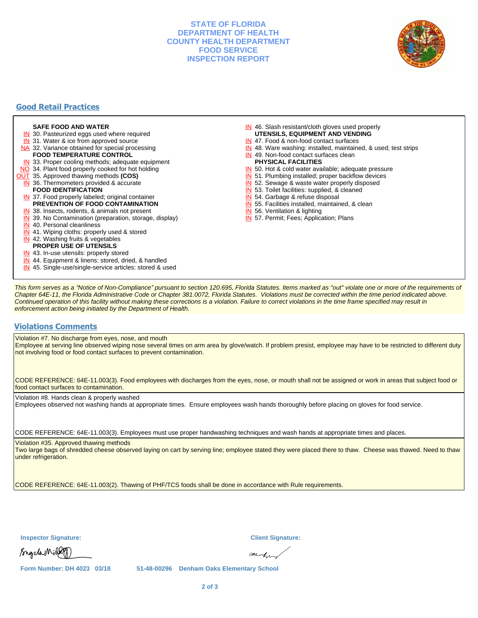### **STATE OF FLORIDA DEPARTMENT OF HEALTH COUNTY HEALTH DEPARTMENT FOOD SERVICE INSPECTION REPORT**



## **Good Retail Practices**

#### **SAFE FOOD AND WATER**

- **IN** 30. Pasteurized eggs used where required
- IN 31. Water & ice from approved source
- NA 32. Variance obtained for special processing
- **FOOD TEMPERATURE CONTROL**
- **IN** 33. Proper cooling methods; adequate equipment
- NO 34. Plant food properly cooked for hot holding
- OUT 35. Approved thawing methods **(COS)**
	- IN 36. Thermometers provided & accurate **FOOD IDENTIFICATION**
	- IN 37. Food properly labeled; original container **PREVENTION OF FOOD CONTAMINATION**
	- IN 38. Insects, rodents, & animals not present
	- **IN** 39. No Contamination (preparation, storage, display)
	- IN 40. Personal cleanliness
	- IN 41. Wiping cloths: properly used & stored
	- IN 42. Washing fruits & vegetables
	- **PROPER USE OF UTENSILS**
	- IN 43. In-use utensils: properly stored
	- IN 44. Equipment & linens: stored, dried, & handled
	- IN 45. Single-use/single-service articles: stored & used
- IN 46. Slash resistant/cloth gloves used properly **UTENSILS, EQUIPMENT AND VENDING**
- IN 47. Food & non-food contact surfaces
- IN 48. Ware washing: installed, maintained, & used; test strips
- IN 49. Non-food contact surfaces clean
- **PHYSICAL FACILITIES**
- IN 50. Hot & cold water available; adequate pressure
- IN 51. Plumbing installed; proper backflow devices
- IN 52. Sewage & waste water properly disposed
- IN 53. Toilet facilities: supplied, & cleaned
- IN 54. Garbage & refuse disposal
- IN 55. Facilities installed, maintained, & clean
- IN 56. Ventilation & lighting
- IN 57. Permit; Fees; Application; Plans

This form serves as a "Notice of Non-Compliance" pursuant to section 120.695, Florida Statutes. Items marked as "out" violate one or more of the requirements of Chapter 64E-11, the Florida Administrative Code or Chapter 381.0072, Florida Statutes. Violations must be corrected within the time period indicated above. Continued operation of this facility without making these corrections is a violation. Failure to correct violations in the time frame specified may result in enforcement action being initiated by the Department of Health.

#### **Violations Comments**

Violation #7. No discharge from eyes, nose, and mouth

Employee at serving line observed wiping nose several times on arm area by glove/watch. If problem presist, employee may have to be restricted to different duty not involving food or food contact surfaces to prevent contamination.

CODE REFERENCE: 64E-11.003(3). Food employees with discharges from the eyes, nose, or mouth shall not be assigned or work in areas that subject food or food contact surfaces to contamination.

Violation #8. Hands clean & properly washed

Employees observed not washing hands at appropriate times. Ensure employees wash hands thoroughly before placing on gloves for food service.

CODE REFERENCE: 64E-11.003(3). Employees must use proper handwashing techniques and wash hands at appropriate times and places.

Violation #35. Approved thawing methods

Two large bags of shredded cheese observed laying on cart by serving line; employee stated they were placed there to thaw. Cheese was thawed. Need to thaw under refrigeration.

CODE REFERENCE: 64E-11.003(2). Thawing of PHF/TCS foods shall be done in accordance with Rule requirements.

**Inspector Signature: Client Signature:**

Sngela Millet

aunto

**Form Number: DH 4023 03/18 51-48-00296 Denham Oaks Elementary School**